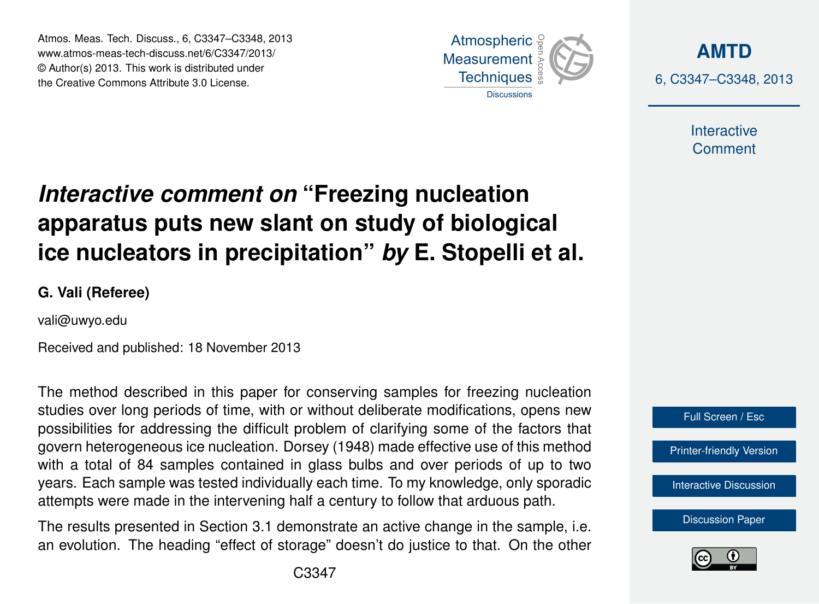Atmos. Meas. Tech. Discuss., 6, C3347–C3348, 2013 Atmospheric www.atmos-meas-tech-discuss.net/6/C3347/2013/ www.atmos-meas-tech-discuss.net/o/C3347/2013/<br>© Author(s) 2013. This work is distributed under the Creative Commons Attribute 3.0 License.



**[AMTD](http://www.atmos-meas-tech-discuss.net)** 6, C3347–C3348, 2013

> Interactive **Comment**

## **Interactive comment on "Freezing nucleation** ow clant on ctudy of hiologic ،<br>آ  $\ddot{\cdot}$ apparatus puts new slant on study of biological Earth System Open Access  $\overline{a}$ ice nucleators in precipitation" *by* E. Stopelli et al.

**G. Vali (Referee)**

vali@uwyo.edu

Received and published: 18 November 2013 Open Access

Data Systems Data Systems The method described in this paper for conserving samples for freezing nucleation possibilities for addressing the difficult problem of clarifying some of the factors that .<br>govern heterogeneous ice nucleation. Dorsey (1948) made effective use of this method r<br>)r<br>)r e<br>to: studies over long periods of time, with or without deliberate modifications, opens new years. Each sample was tested individually each time. To my knowledge, only sporadic attempts were made in the intervening half a century to follow that arduous path. וו<br>ח<br>ח S<br>nt with a total of 84 samples contained in glass bulbs and over periods of up to two

The results presented in Section 3.1 demonstrate an active change in the sample, i.e. an evolution. The heading "effect of storage" doesn't do justice to that. On the other





Ocean Science